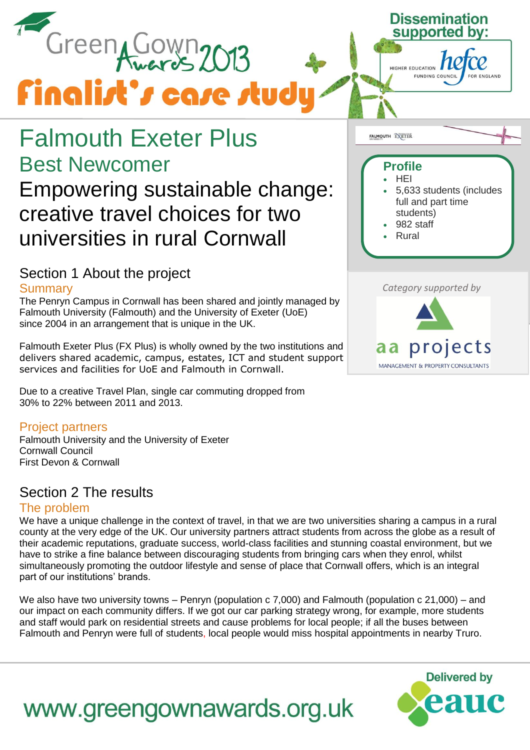

## Falmouth Exeter Plus Best Newcomer

### Empowering sustainable change: creative travel choices for two universities in rural Cornwall

### Section 1 About the project

#### **Summary**

The Penryn Campus in Cornwall has been shared and jointly managed by Falmouth University (Falmouth) and the University of Exeter (UoE) since 2004 in an arrangement that is unique in the UK.

Falmouth Exeter Plus (FX Plus) is wholly owned by the two institutions and delivers shared academic, campus, estates, ICT and student support services and facilities for UoE and Falmouth in Cornwall.

Due to a creative Travel Plan, single car commuting dropped from 30% to 22% between 2011 and 2013.

#### Project partners

Falmouth University and the University of Exeter Cornwall Council First Devon & Cornwall

### Section 2 The results

#### The problem

We have a unique challenge in the context of travel, in that we are two universities sharing a campus in a rural county at the very edge of the UK. Our university partners attract students from across the globe as a result of their academic reputations, graduate success, world-class facilities and stunning coastal environment, but we have to strike a fine balance between discouraging students from bringing cars when they enrol, whilst simultaneously promoting the outdoor lifestyle and sense of place that Cornwall offers, which is an integral part of our institutions' brands.

We also have two university towns – Penryn (population c 7,000) and Falmouth (population c 21,000) – and our impact on each community differs. If we got our car parking strategy wrong, for example, more students and staff would park on residential streets and cause problems for local people; if all the buses between Falmouth and Penryn were full of students, local people would miss hospital appointments in nearby Truro.



**Dissemination** 

FUNDING COUNCIL

supported

HIGHER EDUCATION

#### *Category supported by*



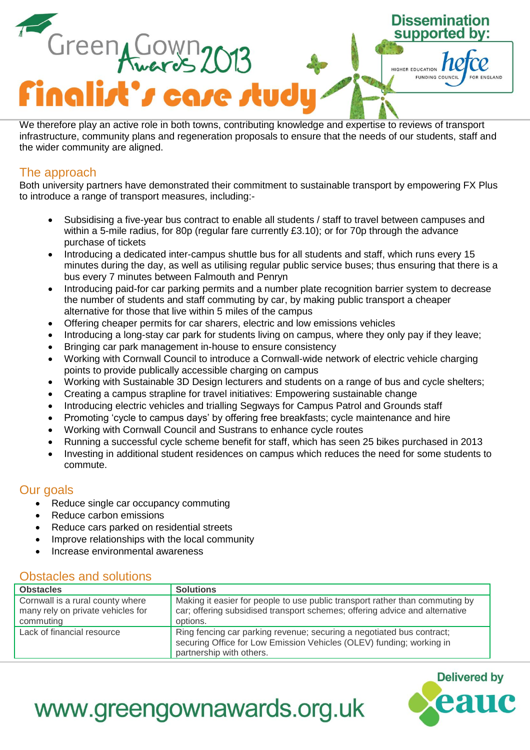

We therefore play an active role in both towns, contributing knowledge and expertise to reviews of transport infrastructure, community plans and regeneration proposals to ensure that the needs of our students, staff and the wider community are aligned.

#### The approach

Both university partners have demonstrated their commitment to sustainable transport by empowering FX Plus to introduce a range of transport measures, including:-

- Subsidising a five-year bus contract to enable all students / staff to travel between campuses and within a 5-mile radius, for 80p (regular fare currently £3.10); or for 70p through the advance purchase of tickets
- Introducing a dedicated inter-campus shuttle bus for all students and staff, which runs every 15 minutes during the day, as well as utilising regular public service buses; thus ensuring that there is a bus every 7 minutes between Falmouth and Penryn
- Introducing paid-for car parking permits and a number plate recognition barrier system to decrease the number of students and staff commuting by car, by making public transport a cheaper alternative for those that live within 5 miles of the campus
- Offering cheaper permits for car sharers, electric and low emissions vehicles
- Introducing a long-stay car park for students living on campus, where they only pay if they leave;
- Bringing car park management in-house to ensure consistency
- Working with Cornwall Council to introduce a Cornwall-wide network of electric vehicle charging points to provide publically accessible charging on campus
- Working with Sustainable 3D Design lecturers and students on a range of bus and cycle shelters;
- Creating a campus strapline for travel initiatives: Empowering sustainable change
- Introducing electric vehicles and trialling Segways for Campus Patrol and Grounds staff
- Promoting 'cycle to campus days' by offering free breakfasts; cycle maintenance and hire
- Working with Cornwall Council and Sustrans to enhance cycle routes
- Running a successful cycle scheme benefit for staff, which has seen 25 bikes purchased in 2013
- Investing in additional student residences on campus which reduces the need for some students to commute.

#### Our goals

- Reduce single car occupancy commuting
- Reduce carbon emissions
- Reduce cars parked on residential streets
- Improve relationships with the local community
- Increase environmental awareness

#### Obstacles and solutions

| <b>Obstacles</b>                                                                   | <b>Solutions</b>                                                                                                                                                          |
|------------------------------------------------------------------------------------|---------------------------------------------------------------------------------------------------------------------------------------------------------------------------|
| Cornwall is a rural county where<br>many rely on private vehicles for<br>commuting | Making it easier for people to use public transport rather than commuting by<br>car; offering subsidised transport schemes; offering advice and alternative<br>options.   |
| Lack of financial resource                                                         | Ring fencing car parking revenue; securing a negotiated bus contract;<br>securing Office for Low Emission Vehicles (OLEV) funding; working in<br>partnership with others. |

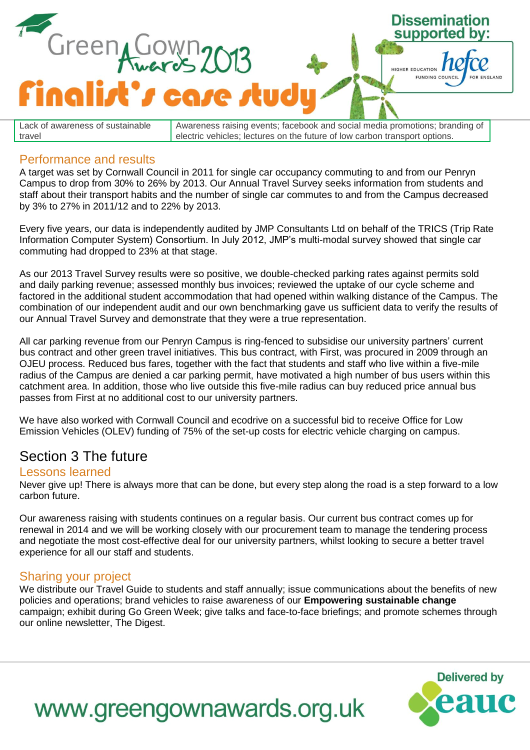

Lack of awareness of sustainable travel Awareness raising events; facebook and social media promotions; branding of electric vehicles; lectures on the future of low carbon transport options.

#### Performance and results

A target was set by Cornwall Council in 2011 for single car occupancy commuting to and from our Penryn Campus to drop from 30% to 26% by 2013. Our Annual Travel Survey seeks information from students and staff about their transport habits and the number of single car commutes to and from the Campus decreased by 3% to 27% in 2011/12 and to 22% by 2013.

Every five years, our data is independently audited by JMP Consultants Ltd on behalf of the TRICS (Trip Rate Information Computer System) Consortium. In July 2012, JMP's multi-modal survey showed that single car commuting had dropped to 23% at that stage.

As our 2013 Travel Survey results were so positive, we double-checked parking rates against permits sold and daily parking revenue; assessed monthly bus invoices; reviewed the uptake of our cycle scheme and factored in the additional student accommodation that had opened within walking distance of the Campus. The combination of our independent audit and our own benchmarking gave us sufficient data to verify the results of our Annual Travel Survey and demonstrate that they were a true representation.

All car parking revenue from our Penryn Campus is ring-fenced to subsidise our university partners' current bus contract and other green travel initiatives. This bus contract, with First, was procured in 2009 through an OJEU process. Reduced bus fares, together with the fact that students and staff who live within a five-mile radius of the Campus are denied a car parking permit, have motivated a high number of bus users within this catchment area. In addition, those who live outside this five-mile radius can buy reduced price annual bus passes from First at no additional cost to our university partners.

We have also worked with Cornwall Council and ecodrive on a successful bid to receive Office for Low Emission Vehicles (OLEV) funding of 75% of the set-up costs for electric vehicle charging on campus.

#### Section 3 The future

#### Lessons learned

Never give up! There is always more that can be done, but every step along the road is a step forward to a low carbon future.

Our awareness raising with students continues on a regular basis. Our current bus contract comes up for renewal in 2014 and we will be working closely with our procurement team to manage the tendering process and negotiate the most cost-effective deal for our university partners, whilst looking to secure a better travel experience for all our staff and students.

#### Sharing your project

We distribute our Travel Guide to students and staff annually; issue communications about the benefits of new policies and operations; brand vehicles to raise awareness of our **Empowering sustainable change** campaign; exhibit during Go Green Week; give talks and face-to-face briefings; and promote schemes through our online newsletter, The Digest.